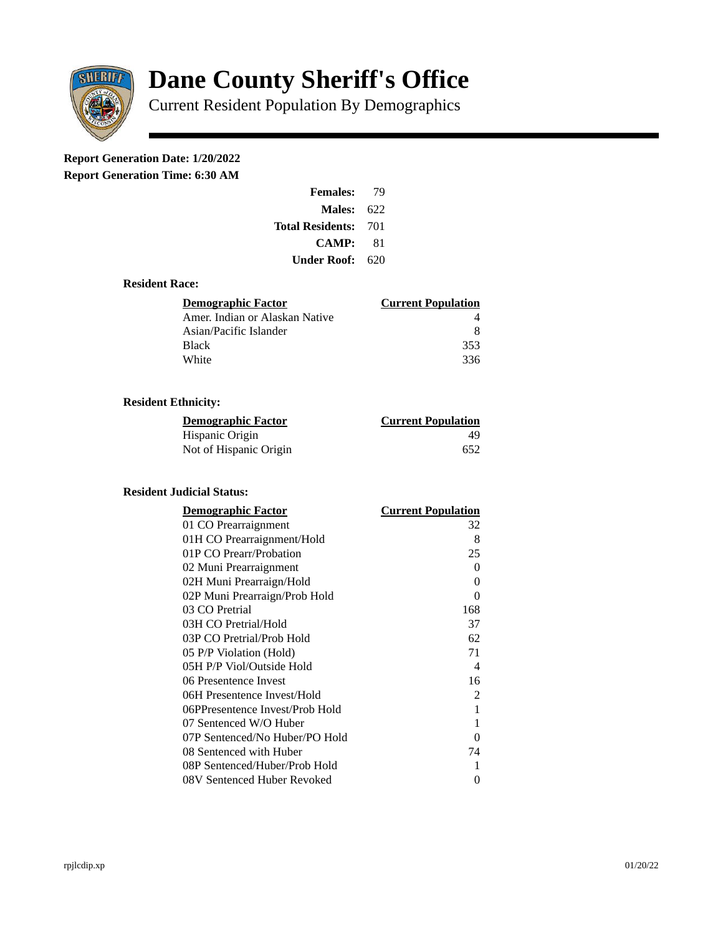

# **Dane County Sheriff's Office**

Current Resident Population By Demographics

# **Report Generation Date: 1/20/2022**

**Report Generation Time: 6:30 AM** 

| <b>Females:</b>         | 79   |
|-------------------------|------|
| Males:                  | 622  |
| <b>Total Residents:</b> | -701 |
| <b>CAMP:</b>            | 81   |
| Under Roof: \           | 620  |

#### **Resident Race:**

| Demographic Factor             | <b>Current Population</b> |
|--------------------------------|---------------------------|
| Amer. Indian or Alaskan Native |                           |
| Asian/Pacific Islander         | 8                         |
| Black                          | 353                       |
| White                          | 336                       |

# **Resident Ethnicity:**

| <u>Demographic Factor</u> | <b>Current Population</b> |
|---------------------------|---------------------------|
| Hispanic Origin           | 49                        |
| Not of Hispanic Origin    | 652                       |

## **Resident Judicial Status:**

| <b>Demographic Factor</b>       | <b>Current Population</b>  |
|---------------------------------|----------------------------|
| 01 CO Prearraignment            | 32                         |
| 01H CO Prearraignment/Hold      | 8                          |
| 01P CO Prearr/Probation         | 25                         |
| 02 Muni Prearraignment          | 0                          |
| 02H Muni Prearraign/Hold        | 0                          |
| 02P Muni Prearraign/Prob Hold   | 0                          |
| 03 CO Pretrial                  | 168                        |
| 03H CO Pretrial/Hold            | 37                         |
| 03P CO Pretrial/Prob Hold       | 62                         |
| 05 P/P Violation (Hold)         | 71                         |
| 05H P/P Viol/Outside Hold       | $\boldsymbol{\mathcal{A}}$ |
| 06 Presentence Invest           | 16                         |
| 06H Presentence Invest/Hold     | $\overline{2}$             |
| 06PPresentence Invest/Prob Hold | 1                          |
| 07 Sentenced W/O Huber          | 1                          |
| 07P Sentenced/No Huber/PO Hold  | 0                          |
| 08 Sentenced with Huber         | 74                         |
| 08P Sentenced/Huber/Prob Hold   | 1                          |
| 08V Sentenced Huber Revoked     | 0                          |